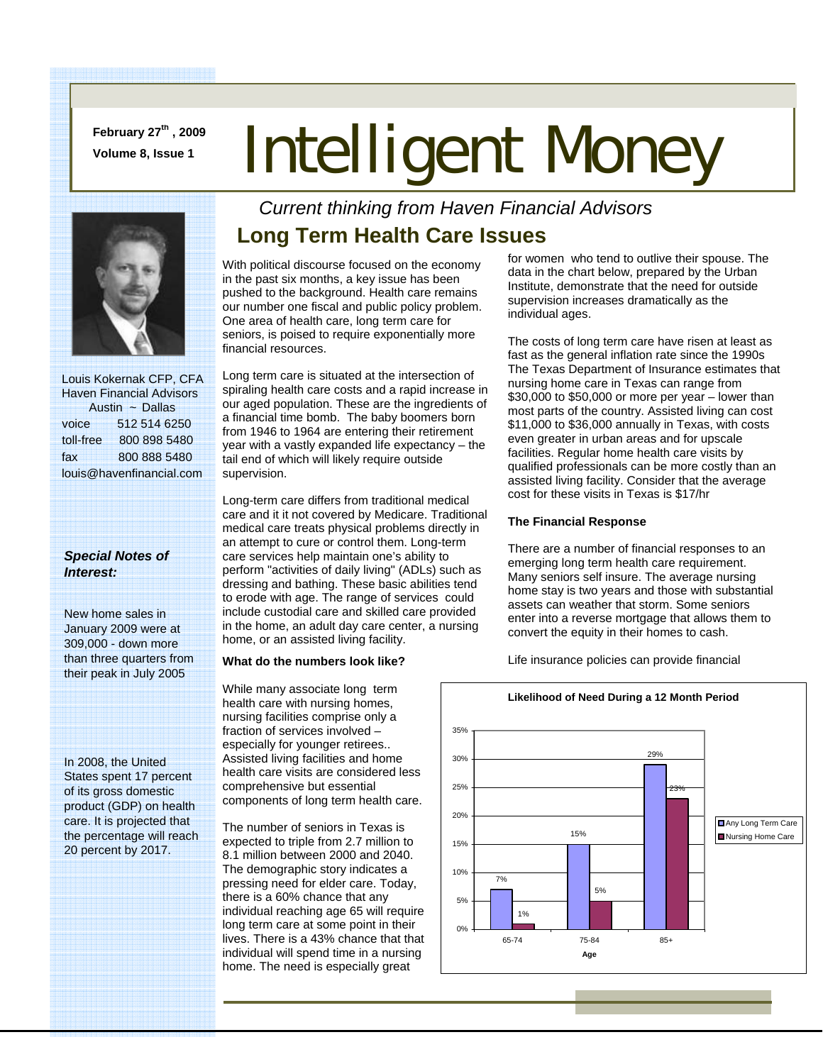**February 27th , 2009** 

# February 27<sup>--</sup>, 2009 **Intelligent Money**



 Louis Kokernak CFP, CFA Haven Financial Advisors Austin ~ Dallas voice 512 514 6250 toll-free 800 898 5480 fax 800 888 5480 louis@havenfinancial.com

### *Special Notes of Interest:*

New home sales in January 2009 were at 309,000 - down more than three quarters from their peak in July 2005

In 2008, the United States spent 17 percent of its gross domestic product (GDP) on health care. It is projected that the percentage will reach 20 percent by 2017.

## *Current thinking from Haven Financial Advisors*  **Long Term Health Care Issues**

With political discourse focused on the economy in the past six months, a key issue has been pushed to the background. Health care remains our number one fiscal and public policy problem. One area of health care, long term care for seniors, is poised to require exponentially more financial resources.

Long term care is situated at the intersection of spiraling health care costs and a rapid increase in our aged population. These are the ingredients of a financial time bomb. The baby boomers born from 1946 to 1964 are entering their retirement year with a vastly expanded life expectancy – the tail end of which will likely require outside supervision.

Long-term care differs from traditional medical care and it it not covered by Medicare. Traditional medical care treats physical problems directly in an attempt to cure or control them. Long-term care services help maintain one's ability to perform "activities of daily living" (ADLs) such as dressing and bathing. These basic abilities tend to erode with age. The range of services could include custodial care and skilled care provided in the home, an adult day care center, a nursing home, or an assisted living facility.

#### **What do the numbers look like?**

While many associate long term health care with nursing homes, nursing facilities comprise only a fraction of services involved – especially for younger retirees.. Assisted living facilities and home health care visits are considered less comprehensive but essential components of long term health care.

The number of seniors in Texas is expected to triple from 2.7 million to 8.1 million between 2000 and 2040. The demographic story indicates a pressing need for elder care. Today, there is a 60% chance that any individual reaching age 65 will require long term care at some point in their lives. There is a 43% chance that that individual will spend time in a nursing home. The need is especially great

for women who tend to outlive their spouse. The data in the chart below, prepared by the Urban Institute, demonstrate that the need for outside supervision increases dramatically as the individual ages.

The costs of long term care have risen at least as fast as the general inflation rate since the 1990s The Texas Department of Insurance estimates that nursing home care in Texas can range from \$30,000 to \$50,000 or more per year – lower than most parts of the country. Assisted living can cost \$11,000 to \$36,000 annually in Texas, with costs even greater in urban areas and for upscale facilities. Regular home health care visits by qualified professionals can be more costly than an assisted living facility. Consider that the average cost for these visits in Texas is \$17/hr

#### **The Financial Response**

There are a number of financial responses to an emerging long term health care requirement. Many seniors self insure. The average nursing home stay is two years and those with substantial assets can weather that storm. Some seniors enter into a reverse mortgage that allows them to convert the equity in their homes to cash.

Life insurance policies can provide financial